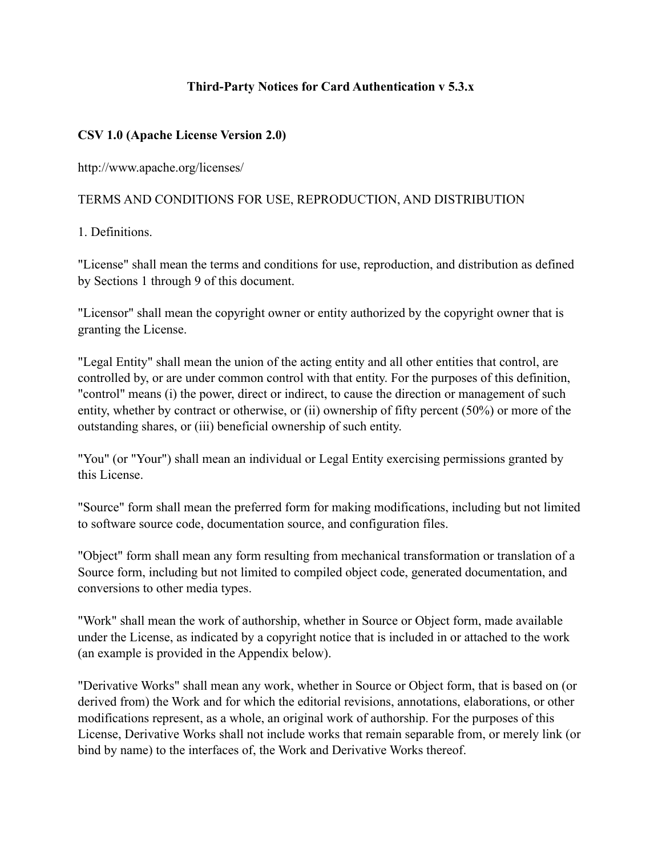### **Third-Party Notices for Card Authentication v 5.3.x**

#### **CSV 1.0 (Apache License Version 2.0)**

http://www.apache.org/licenses/

### TERMS AND CONDITIONS FOR USE, REPRODUCTION, AND DISTRIBUTION

1. Definitions.

"License" shall mean the terms and conditions for use, reproduction, and distribution as defined by Sections 1 through 9 of this document.

"Licensor" shall mean the copyright owner or entity authorized by the copyright owner that is granting the License.

"Legal Entity" shall mean the union of the acting entity and all other entities that control, are controlled by, or are under common control with that entity. For the purposes of this definition, "control" means (i) the power, direct or indirect, to cause the direction or management of such entity, whether by contract or otherwise, or (ii) ownership of fifty percent (50%) or more of the outstanding shares, or (iii) beneficial ownership of such entity.

"You" (or "Your") shall mean an individual or Legal Entity exercising permissions granted by this License.

"Source" form shall mean the preferred form for making modifications, including but not limited to software source code, documentation source, and configuration files.

"Object" form shall mean any form resulting from mechanical transformation or translation of a Source form, including but not limited to compiled object code, generated documentation, and conversions to other media types.

"Work" shall mean the work of authorship, whether in Source or Object form, made available under the License, as indicated by a copyright notice that is included in or attached to the work (an example is provided in the Appendix below).

"Derivative Works" shall mean any work, whether in Source or Object form, that is based on (or derived from) the Work and for which the editorial revisions, annotations, elaborations, or other modifications represent, as a whole, an original work of authorship. For the purposes of this License, Derivative Works shall not include works that remain separable from, or merely link (or bind by name) to the interfaces of, the Work and Derivative Works thereof.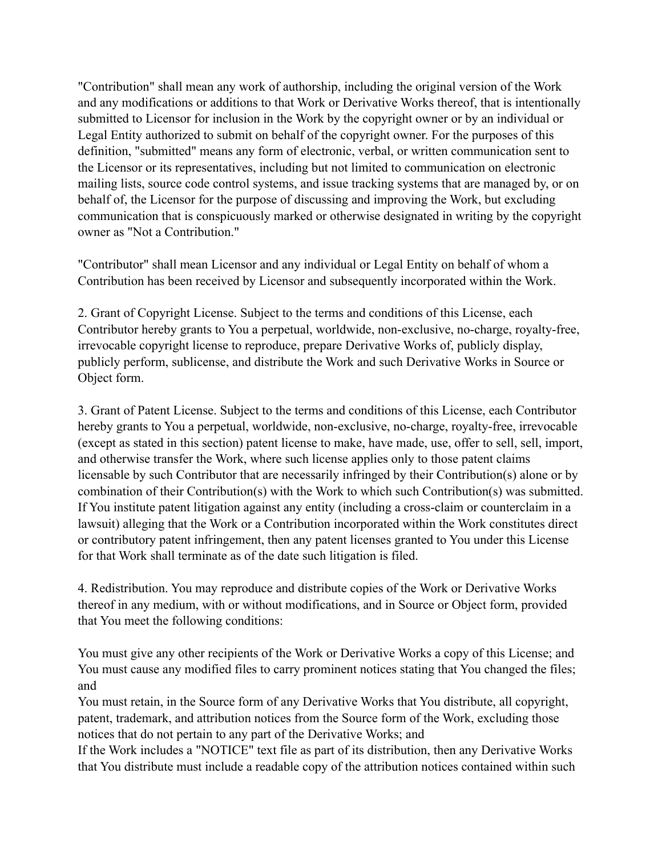"Contribution" shall mean any work of authorship, including the original version of the Work and any modifications or additions to that Work or Derivative Works thereof, that is intentionally submitted to Licensor for inclusion in the Work by the copyright owner or by an individual or Legal Entity authorized to submit on behalf of the copyright owner. For the purposes of this definition, "submitted" means any form of electronic, verbal, or written communication sent to the Licensor or its representatives, including but not limited to communication on electronic mailing lists, source code control systems, and issue tracking systems that are managed by, or on behalf of, the Licensor for the purpose of discussing and improving the Work, but excluding communication that is conspicuously marked or otherwise designated in writing by the copyright owner as "Not a Contribution."

"Contributor" shall mean Licensor and any individual or Legal Entity on behalf of whom a Contribution has been received by Licensor and subsequently incorporated within the Work.

2. Grant of Copyright License. Subject to the terms and conditions of this License, each Contributor hereby grants to You a perpetual, worldwide, non-exclusive, no-charge, royalty-free, irrevocable copyright license to reproduce, prepare Derivative Works of, publicly display, publicly perform, sublicense, and distribute the Work and such Derivative Works in Source or Object form.

3. Grant of Patent License. Subject to the terms and conditions of this License, each Contributor hereby grants to You a perpetual, worldwide, non-exclusive, no-charge, royalty-free, irrevocable (except as stated in this section) patent license to make, have made, use, offer to sell, sell, import, and otherwise transfer the Work, where such license applies only to those patent claims licensable by such Contributor that are necessarily infringed by their Contribution(s) alone or by combination of their Contribution(s) with the Work to which such Contribution(s) was submitted. If You institute patent litigation against any entity (including a cross-claim or counterclaim in a lawsuit) alleging that the Work or a Contribution incorporated within the Work constitutes direct or contributory patent infringement, then any patent licenses granted to You under this License for that Work shall terminate as of the date such litigation is filed.

4. Redistribution. You may reproduce and distribute copies of the Work or Derivative Works thereof in any medium, with or without modifications, and in Source or Object form, provided that You meet the following conditions:

You must give any other recipients of the Work or Derivative Works a copy of this License; and You must cause any modified files to carry prominent notices stating that You changed the files; and

You must retain, in the Source form of any Derivative Works that You distribute, all copyright, patent, trademark, and attribution notices from the Source form of the Work, excluding those notices that do not pertain to any part of the Derivative Works; and

If the Work includes a "NOTICE" text file as part of its distribution, then any Derivative Works that You distribute must include a readable copy of the attribution notices contained within such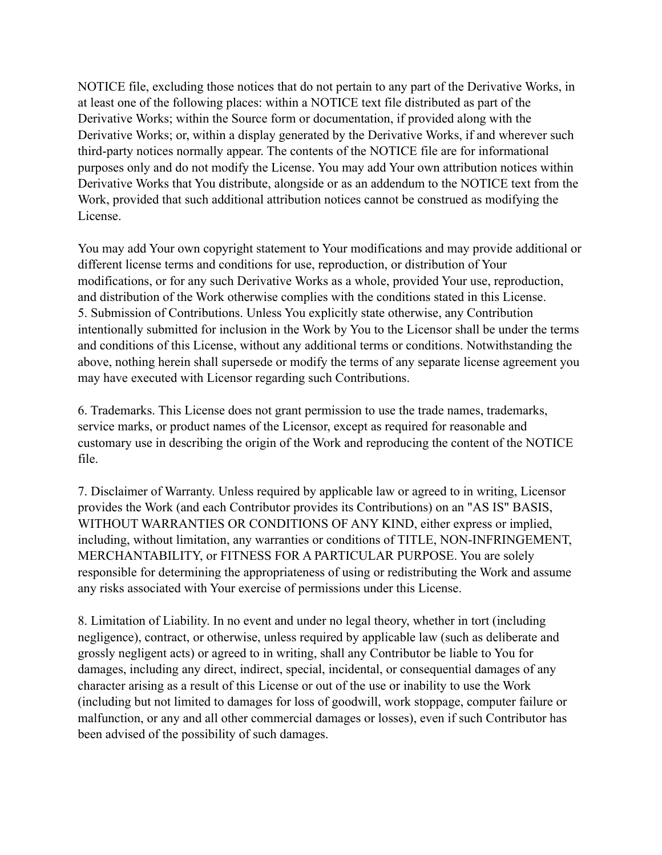NOTICE file, excluding those notices that do not pertain to any part of the Derivative Works, in at least one of the following places: within a NOTICE text file distributed as part of the Derivative Works; within the Source form or documentation, if provided along with the Derivative Works; or, within a display generated by the Derivative Works, if and wherever such third-party notices normally appear. The contents of the NOTICE file are for informational purposes only and do not modify the License. You may add Your own attribution notices within Derivative Works that You distribute, alongside or as an addendum to the NOTICE text from the Work, provided that such additional attribution notices cannot be construed as modifying the License.

You may add Your own copyright statement to Your modifications and may provide additional or different license terms and conditions for use, reproduction, or distribution of Your modifications, or for any such Derivative Works as a whole, provided Your use, reproduction, and distribution of the Work otherwise complies with the conditions stated in this License. 5. Submission of Contributions. Unless You explicitly state otherwise, any Contribution intentionally submitted for inclusion in the Work by You to the Licensor shall be under the terms and conditions of this License, without any additional terms or conditions. Notwithstanding the above, nothing herein shall supersede or modify the terms of any separate license agreement you may have executed with Licensor regarding such Contributions.

6. Trademarks. This License does not grant permission to use the trade names, trademarks, service marks, or product names of the Licensor, except as required for reasonable and customary use in describing the origin of the Work and reproducing the content of the NOTICE file.

7. Disclaimer of Warranty. Unless required by applicable law or agreed to in writing, Licensor provides the Work (and each Contributor provides its Contributions) on an "AS IS" BASIS, WITHOUT WARRANTIES OR CONDITIONS OF ANY KIND, either express or implied, including, without limitation, any warranties or conditions of TITLE, NON-INFRINGEMENT, MERCHANTABILITY, or FITNESS FOR A PARTICULAR PURPOSE. You are solely responsible for determining the appropriateness of using or redistributing the Work and assume any risks associated with Your exercise of permissions under this License.

8. Limitation of Liability. In no event and under no legal theory, whether in tort (including negligence), contract, or otherwise, unless required by applicable law (such as deliberate and grossly negligent acts) or agreed to in writing, shall any Contributor be liable to You for damages, including any direct, indirect, special, incidental, or consequential damages of any character arising as a result of this License or out of the use or inability to use the Work (including but not limited to damages for loss of goodwill, work stoppage, computer failure or malfunction, or any and all other commercial damages or losses), even if such Contributor has been advised of the possibility of such damages.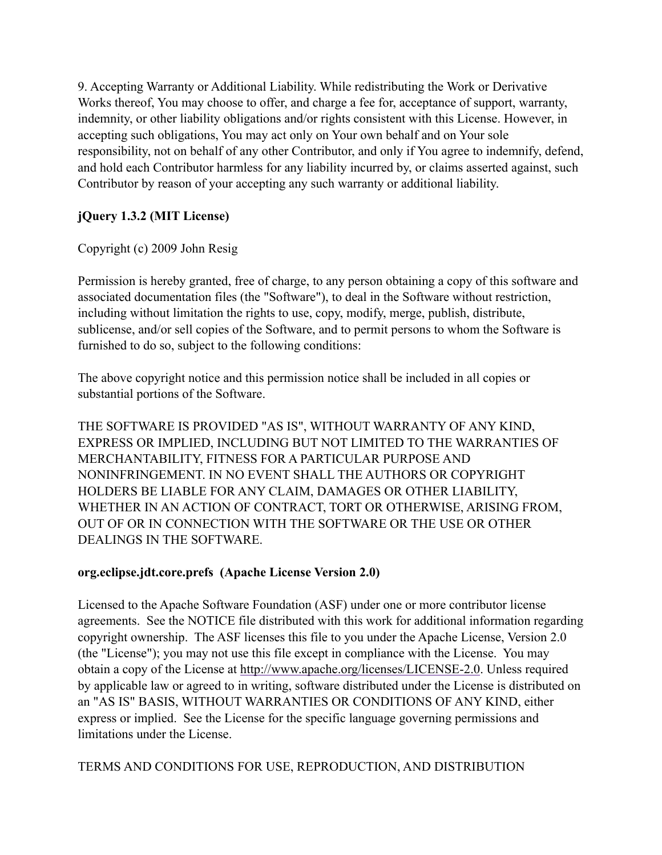9. Accepting Warranty or Additional Liability. While redistributing the Work or Derivative Works thereof, You may choose to offer, and charge a fee for, acceptance of support, warranty, indemnity, or other liability obligations and/or rights consistent with this License. However, in accepting such obligations, You may act only on Your own behalf and on Your sole responsibility, not on behalf of any other Contributor, and only if You agree to indemnify, defend, and hold each Contributor harmless for any liability incurred by, or claims asserted against, such Contributor by reason of your accepting any such warranty or additional liability.

# **jQuery 1.3.2 (MIT License)**

# Copyright (c) 2009 John Resig

Permission is hereby granted, free of charge, to any person obtaining a copy of this software and associated documentation files (the "Software"), to deal in the Software without restriction, including without limitation the rights to use, copy, modify, merge, publish, distribute, sublicense, and/or sell copies of the Software, and to permit persons to whom the Software is furnished to do so, subject to the following conditions:

The above copyright notice and this permission notice shall be included in all copies or substantial portions of the Software.

THE SOFTWARE IS PROVIDED "AS IS", WITHOUT WARRANTY OF ANY KIND, EXPRESS OR IMPLIED, INCLUDING BUT NOT LIMITED TO THE WARRANTIES OF MERCHANTABILITY, FITNESS FOR A PARTICULAR PURPOSE AND NONINFRINGEMENT. IN NO EVENT SHALL THE AUTHORS OR COPYRIGHT HOLDERS BE LIABLE FOR ANY CLAIM, DAMAGES OR OTHER LIABILITY, WHETHER IN AN ACTION OF CONTRACT, TORT OR OTHERWISE, ARISING FROM, OUT OF OR IN CONNECTION WITH THE SOFTWARE OR THE USE OR OTHER DEALINGS IN THE SOFTWARE.

# **org.eclipse.jdt.core.prefs (Apache License Version 2.0)**

Licensed to the Apache Software Foundation (ASF) under one or more contributor license agreements. See the NOTICE file distributed with this work for additional information regarding copyright ownership. The ASF licenses this file to you under the Apache License, Version 2.0 (the "License"); you may not use this file except in compliance with the License. You may obtain a copy of the License at<http://www.apache.org/licenses/LICENSE-2.0>. Unless required by applicable law or agreed to in writing, software distributed under the License is distributed on an "AS IS" BASIS, WITHOUT WARRANTIES OR CONDITIONS OF ANY KIND, either express or implied. See the License for the specific language governing permissions and limitations under the License.

# TERMS AND CONDITIONS FOR USE, REPRODUCTION, AND DISTRIBUTION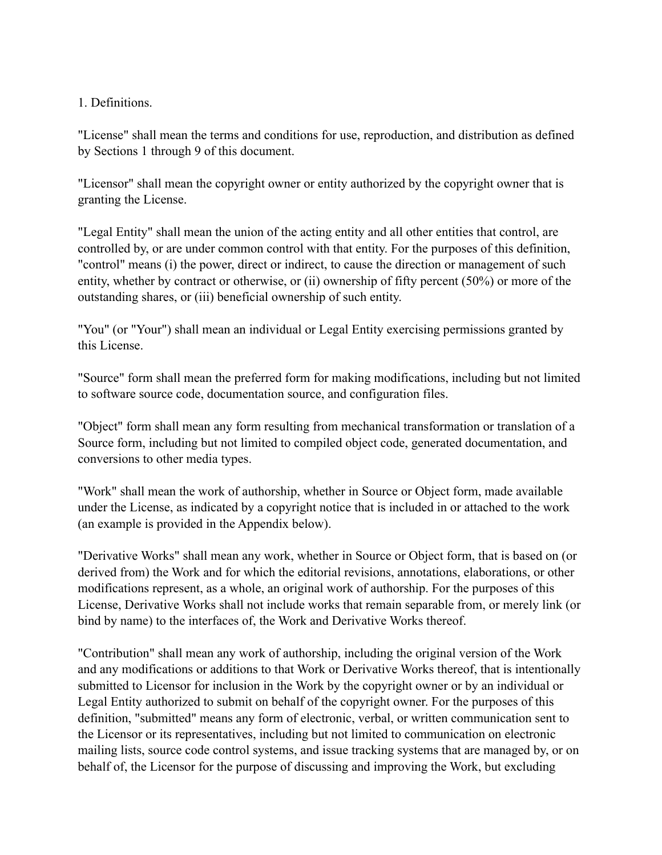#### 1. Definitions.

"License" shall mean the terms and conditions for use, reproduction, and distribution as defined by Sections 1 through 9 of this document.

"Licensor" shall mean the copyright owner or entity authorized by the copyright owner that is granting the License.

"Legal Entity" shall mean the union of the acting entity and all other entities that control, are controlled by, or are under common control with that entity. For the purposes of this definition, "control" means (i) the power, direct or indirect, to cause the direction or management of such entity, whether by contract or otherwise, or (ii) ownership of fifty percent (50%) or more of the outstanding shares, or (iii) beneficial ownership of such entity.

"You" (or "Your") shall mean an individual or Legal Entity exercising permissions granted by this License.

"Source" form shall mean the preferred form for making modifications, including but not limited to software source code, documentation source, and configuration files.

"Object" form shall mean any form resulting from mechanical transformation or translation of a Source form, including but not limited to compiled object code, generated documentation, and conversions to other media types.

"Work" shall mean the work of authorship, whether in Source or Object form, made available under the License, as indicated by a copyright notice that is included in or attached to the work (an example is provided in the Appendix below).

"Derivative Works" shall mean any work, whether in Source or Object form, that is based on (or derived from) the Work and for which the editorial revisions, annotations, elaborations, or other modifications represent, as a whole, an original work of authorship. For the purposes of this License, Derivative Works shall not include works that remain separable from, or merely link (or bind by name) to the interfaces of, the Work and Derivative Works thereof.

"Contribution" shall mean any work of authorship, including the original version of the Work and any modifications or additions to that Work or Derivative Works thereof, that is intentionally submitted to Licensor for inclusion in the Work by the copyright owner or by an individual or Legal Entity authorized to submit on behalf of the copyright owner. For the purposes of this definition, "submitted" means any form of electronic, verbal, or written communication sent to the Licensor or its representatives, including but not limited to communication on electronic mailing lists, source code control systems, and issue tracking systems that are managed by, or on behalf of, the Licensor for the purpose of discussing and improving the Work, but excluding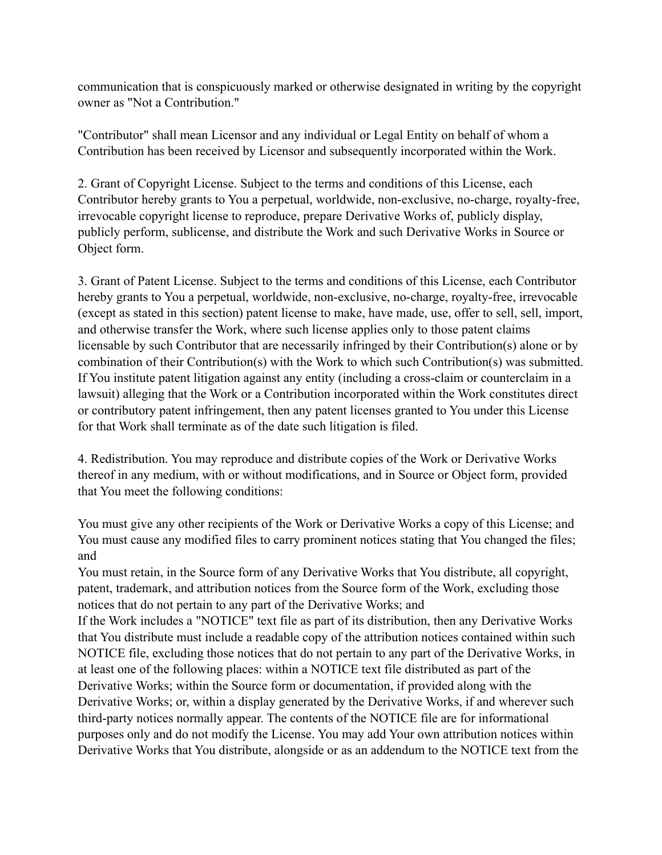communication that is conspicuously marked or otherwise designated in writing by the copyright owner as "Not a Contribution."

"Contributor" shall mean Licensor and any individual or Legal Entity on behalf of whom a Contribution has been received by Licensor and subsequently incorporated within the Work.

2. Grant of Copyright License. Subject to the terms and conditions of this License, each Contributor hereby grants to You a perpetual, worldwide, non-exclusive, no-charge, royalty-free, irrevocable copyright license to reproduce, prepare Derivative Works of, publicly display, publicly perform, sublicense, and distribute the Work and such Derivative Works in Source or Object form.

3. Grant of Patent License. Subject to the terms and conditions of this License, each Contributor hereby grants to You a perpetual, worldwide, non-exclusive, no-charge, royalty-free, irrevocable (except as stated in this section) patent license to make, have made, use, offer to sell, sell, import, and otherwise transfer the Work, where such license applies only to those patent claims licensable by such Contributor that are necessarily infringed by their Contribution(s) alone or by combination of their Contribution(s) with the Work to which such Contribution(s) was submitted. If You institute patent litigation against any entity (including a cross-claim or counterclaim in a lawsuit) alleging that the Work or a Contribution incorporated within the Work constitutes direct or contributory patent infringement, then any patent licenses granted to You under this License for that Work shall terminate as of the date such litigation is filed.

4. Redistribution. You may reproduce and distribute copies of the Work or Derivative Works thereof in any medium, with or without modifications, and in Source or Object form, provided that You meet the following conditions:

You must give any other recipients of the Work or Derivative Works a copy of this License; and You must cause any modified files to carry prominent notices stating that You changed the files; and

You must retain, in the Source form of any Derivative Works that You distribute, all copyright, patent, trademark, and attribution notices from the Source form of the Work, excluding those notices that do not pertain to any part of the Derivative Works; and

If the Work includes a "NOTICE" text file as part of its distribution, then any Derivative Works that You distribute must include a readable copy of the attribution notices contained within such NOTICE file, excluding those notices that do not pertain to any part of the Derivative Works, in at least one of the following places: within a NOTICE text file distributed as part of the Derivative Works; within the Source form or documentation, if provided along with the Derivative Works; or, within a display generated by the Derivative Works, if and wherever such third-party notices normally appear. The contents of the NOTICE file are for informational purposes only and do not modify the License. You may add Your own attribution notices within Derivative Works that You distribute, alongside or as an addendum to the NOTICE text from the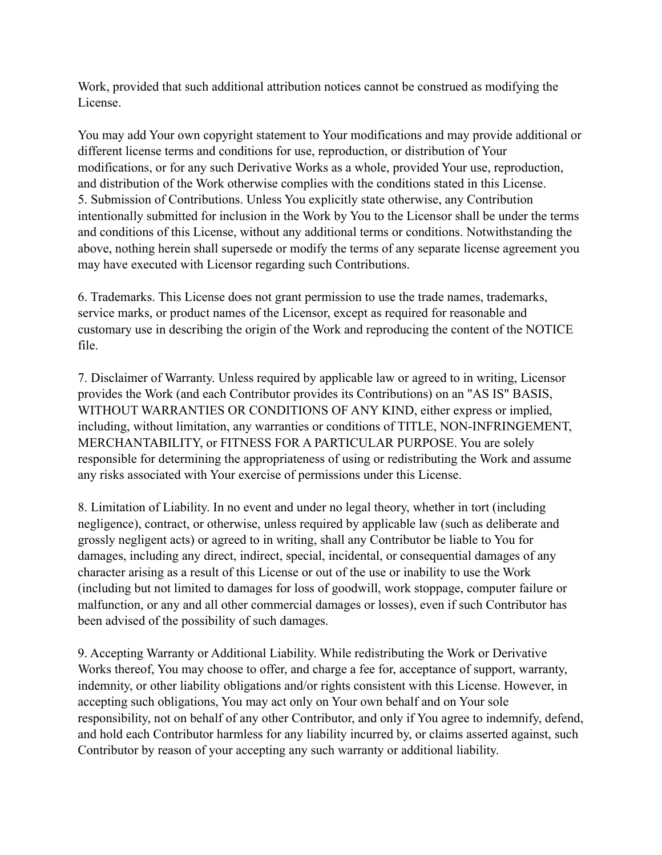Work, provided that such additional attribution notices cannot be construed as modifying the License.

You may add Your own copyright statement to Your modifications and may provide additional or different license terms and conditions for use, reproduction, or distribution of Your modifications, or for any such Derivative Works as a whole, provided Your use, reproduction, and distribution of the Work otherwise complies with the conditions stated in this License. 5. Submission of Contributions. Unless You explicitly state otherwise, any Contribution intentionally submitted for inclusion in the Work by You to the Licensor shall be under the terms and conditions of this License, without any additional terms or conditions. Notwithstanding the above, nothing herein shall supersede or modify the terms of any separate license agreement you may have executed with Licensor regarding such Contributions.

6. Trademarks. This License does not grant permission to use the trade names, trademarks, service marks, or product names of the Licensor, except as required for reasonable and customary use in describing the origin of the Work and reproducing the content of the NOTICE file.

7. Disclaimer of Warranty. Unless required by applicable law or agreed to in writing, Licensor provides the Work (and each Contributor provides its Contributions) on an "AS IS" BASIS, WITHOUT WARRANTIES OR CONDITIONS OF ANY KIND, either express or implied, including, without limitation, any warranties or conditions of TITLE, NON-INFRINGEMENT, MERCHANTABILITY, or FITNESS FOR A PARTICULAR PURPOSE. You are solely responsible for determining the appropriateness of using or redistributing the Work and assume any risks associated with Your exercise of permissions under this License.

8. Limitation of Liability. In no event and under no legal theory, whether in tort (including negligence), contract, or otherwise, unless required by applicable law (such as deliberate and grossly negligent acts) or agreed to in writing, shall any Contributor be liable to You for damages, including any direct, indirect, special, incidental, or consequential damages of any character arising as a result of this License or out of the use or inability to use the Work (including but not limited to damages for loss of goodwill, work stoppage, computer failure or malfunction, or any and all other commercial damages or losses), even if such Contributor has been advised of the possibility of such damages.

9. Accepting Warranty or Additional Liability. While redistributing the Work or Derivative Works thereof, You may choose to offer, and charge a fee for, acceptance of support, warranty, indemnity, or other liability obligations and/or rights consistent with this License. However, in accepting such obligations, You may act only on Your own behalf and on Your sole responsibility, not on behalf of any other Contributor, and only if You agree to indemnify, defend, and hold each Contributor harmless for any liability incurred by, or claims asserted against, such Contributor by reason of your accepting any such warranty or additional liability.